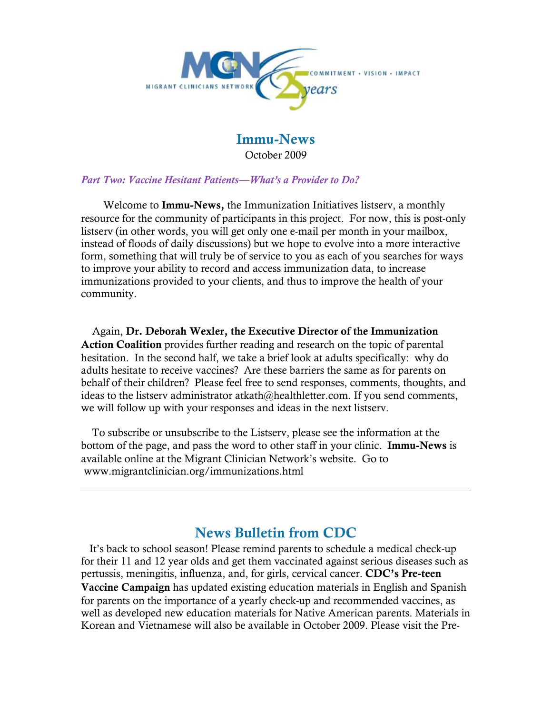

### Immu-News October 2009

#### *Part Two: Vaccine Hesitant Patients—What's a Provider to Do?*

 Welcome to Immu-News, the Immunization Initiatives listserv, a monthly resource for the community of participants in this project. For now, this is post-only listserv (in other words, you will get only one e-mail per month in your mailbox, instead of floods of daily discussions) but we hope to evolve into a more interactive form, something that will truly be of service to you as each of you searches for ways to improve your ability to record and access immunization data, to increase immunizations provided to your clients, and thus to improve the health of your community.

 Again, Dr. Deborah Wexler, the Executive Director of the Immunization Action Coalition provides further reading and research on the topic of parental hesitation. In the second half, we take a brief look at adults specifically: why do adults hesitate to receive vaccines? Are these barriers the same as for parents on behalf of their children? Please feel free to send responses, comments, thoughts, and ideas to the listserv administrator atkath@healthletter.com. If you send comments, we will follow up with your responses and ideas in the next listserv.

 To subscribe or unsubscribe to the Listserv, please see the information at the bottom of the page, and pass the word to other staff in your clinic. **Immu-News** is available online at the Migrant Clinician Network's website. Go to www.migrantclinician.org/immunizations.html

# News Bulletin from CDC

 It's back to school season! Please remind parents to schedule a medical check-up for their 11 and 12 year olds and get them vaccinated against serious diseases such as pertussis, meningitis, influenza, and, for girls, cervical cancer. CDC's Pre-teen Vaccine Campaign has updated existing education materials in English and Spanish for parents on the importance of a yearly check-up and recommended vaccines, as well as developed new education materials for Native American parents. Materials in Korean and Vietnamese will also be available in October 2009. Please visit the Pre-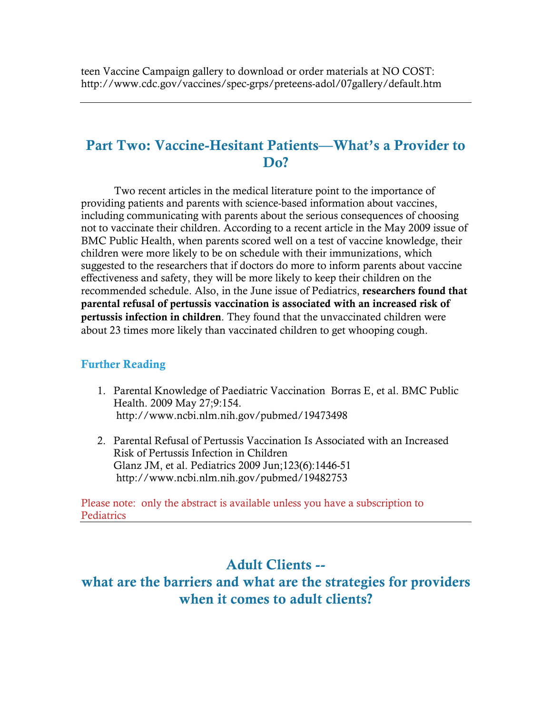## Part Two: Vaccine-Hesitant Patients—What's a Provider to D<sub>0</sub>?

 Two recent articles in the medical literature point to the importance of providing patients and parents with science-based information about vaccines, including communicating with parents about the serious consequences of choosing not to vaccinate their children. According to a recent article in the May 2009 issue of BMC Public Health, when parents scored well on a test of vaccine knowledge, their children were more likely to be on schedule with their immunizations, which suggested to the researchers that if doctors do more to inform parents about vaccine effectiveness and safety, they will be more likely to keep their children on the recommended schedule. Also, in the June issue of Pediatrics, researchers found that parental refusal of pertussis vaccination is associated with an increased risk of pertussis infection in children. They found that the unvaccinated children were about 23 times more likely than vaccinated children to get whooping cough.

#### Further Reading

- 1. Parental Knowledge of Paediatric Vaccination Borras E, et al. BMC Public Health. 2009 May 27;9:154. http://www.ncbi.nlm.nih.gov/pubmed/19473498
- 2. Parental Refusal of Pertussis Vaccination Is Associated with an Increased Risk of Pertussis Infection in Children Glanz JM, et al. Pediatrics 2009 Jun;123(6):1446-51 http://www.ncbi.nlm.nih.gov/pubmed/19482753

Please note: only the abstract is available unless you have a subscription to Pediatrics

## Adult Clients --

what are the barriers and what are the strategies for providers when it comes to adult clients?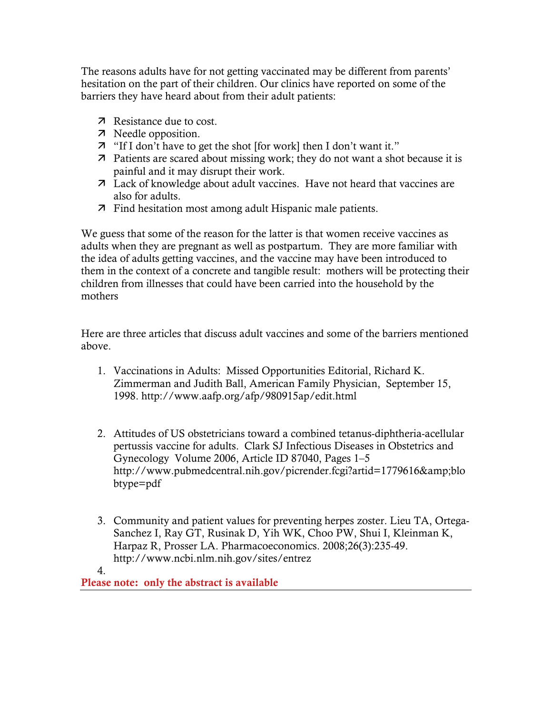The reasons adults have for not getting vaccinated may be different from parents' hesitation on the part of their children. Our clinics have reported on some of the barriers they have heard about from their adult patients:

- **7** Resistance due to cost.
- 7 Needle opposition.
- "If I don't have to get the shot [for work] then I don't want it."
- Patients are scared about missing work; they do not want a shot because it is painful and it may disrupt their work.
- Lack of knowledge about adult vaccines. Have not heard that vaccines are also for adults.
- Find hesitation most among adult Hispanic male patients.

We guess that some of the reason for the latter is that women receive vaccines as adults when they are pregnant as well as postpartum. They are more familiar with the idea of adults getting vaccines, and the vaccine may have been introduced to them in the context of a concrete and tangible result: mothers will be protecting their children from illnesses that could have been carried into the household by the mothers

Here are three articles that discuss adult vaccines and some of the barriers mentioned above.

- 1. Vaccinations in Adults: Missed Opportunities Editorial, Richard K. Zimmerman and Judith Ball, American Family Physician, September 15, 1998. http://www.aafp.org/afp/980915ap/edit.html
- 2. Attitudes of US obstetricians toward a combined tetanus-diphtheria-acellular pertussis vaccine for adults. Clark SJ Infectious Diseases in Obstetrics and Gynecology Volume 2006, Article ID 87040, Pages 1–5 http://www.pubmedcentral.nih.gov/picrender.fcgi?artid=1779616&blo btype=pdf
- 3. Community and patient values for preventing herpes zoster. Lieu TA, Ortega-Sanchez I, Ray GT, Rusinak D, Yih WK, Choo PW, Shui I, Kleinman K, Harpaz R, Prosser LA. Pharmacoeconomics. 2008;26(3):235-49. http://www.ncbi.nlm.nih.gov/sites/entrez

4. Please note: only the abstract is available